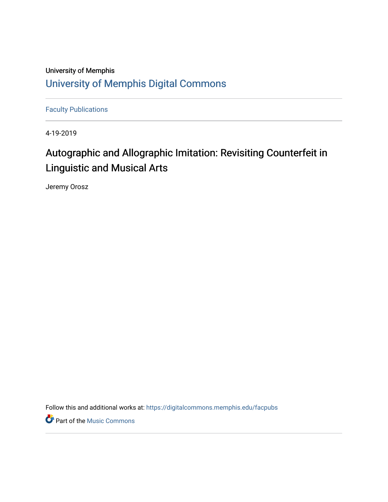## University of Memphis [University of Memphis Digital Commons](https://digitalcommons.memphis.edu/)

[Faculty Publications](https://digitalcommons.memphis.edu/facpubs)

4-19-2019

# Autographic and Allographic Imitation: Revisiting Counterfeit in Linguistic and Musical Arts

<span id="page-0-2"></span><span id="page-0-1"></span><span id="page-0-0"></span>Jeremy Orosz

<span id="page-0-4"></span><span id="page-0-3"></span>Follow this and additional works at: [https://digitalcommons.memphis.edu/facpubs](https://digitalcommons.memphis.edu/facpubs?utm_source=digitalcommons.memphis.edu%2Ffacpubs%2F112&utm_medium=PDF&utm_campaign=PDFCoverPages) 

<span id="page-0-7"></span><span id="page-0-6"></span><span id="page-0-5"></span>**P** Part of the Music Commons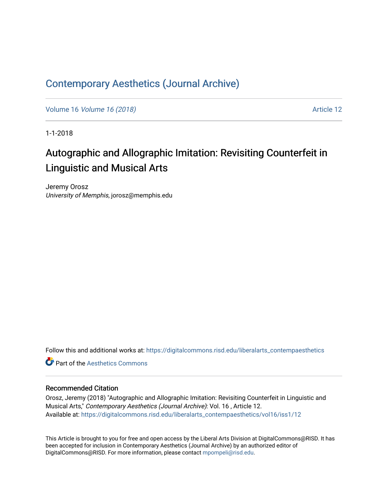## [Contemporary Aesthetics \(Journal Archive\)](https://digitalcommons.risd.edu/liberalarts_contempaesthetics)

Volume 16 [Volume 16 \(2018\)](https://digitalcommons.risd.edu/liberalarts_contempaesthetics/vol16) **Article 12** 

1-1-2018

# Autographic and Allographic Imitation: Revisiting Counterfeit in Linguistic and Musical Arts

<span id="page-1-0"></span>Jeremy Orosz University of Memphis, jorosz@memphis.edu

<span id="page-1-1"></span>Follow this and additional works at: [https://digitalcommons.risd.edu/liberalarts\\_contempaesthetics](https://digitalcommons.risd.edu/liberalarts_contempaesthetics?utm_source=digitalcommons.risd.edu%2Fliberalarts_contempaesthetics%2Fvol16%2Fiss1%2F12&utm_medium=PDF&utm_campaign=PDFCoverPages) 

<span id="page-1-3"></span><span id="page-1-2"></span>**C** Part of the Aesthetics Commons

## Recommended Citation

<span id="page-1-4"></span>Orosz, Jeremy (2018) "Autographic and Allographic Imitation: Revisiting Counterfeit in Linguistic and Musical Arts," Contemporary Aesthetics (Journal Archive): Vol. 16 , Article 12. Available at: [https://digitalcommons.risd.edu/liberalarts\\_contempaesthetics/vol16/iss1/12](https://digitalcommons.risd.edu/liberalarts_contempaesthetics/vol16/iss1/12?utm_source=digitalcommons.risd.edu%2Fliberalarts_contempaesthetics%2Fvol16%2Fiss1%2F12&utm_medium=PDF&utm_campaign=PDFCoverPages)

This Article is brought to you for free and open access by the Liberal Arts Division at DigitalCommons@RISD. It has been accepted for inclusion in Contemporary Aesthetics (Journal Archive) by an authorized editor of DigitalCommons@RISD. For more information, please contact [mpompeli@risd.edu](mailto:mpompeli@risd.edu).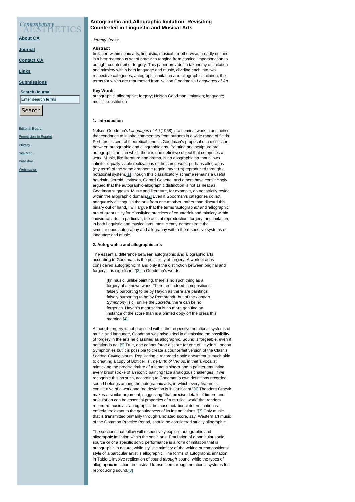## Contemporary

**[About CA](https://contempaesthetics.org/pages/about.html)**

### **[Journal](https://contempaesthetics.org/newvolume/pages/journal.php)**

**[Contact CA](https://contempaesthetics.org/pages/contact.html)**

**[Links](https://contempaesthetics.org/pages/links.html)**

## **[Submissions](https://contempaesthetics.org/pages/guidelines.html)**

**Search Journal**

Enter search terms

Search

### [Editorial Board](https://contempaesthetics.org/pages/editorialboard.html)

**[Permission to Reprint](https://contempaesthetics.org/pages/reprint.html)** 

[Privacy](https://contempaesthetics.org/pages/privacy.html)

[Site Map](https://contempaesthetics.org/pages/sitemap.html)

[Publisher](https://contempaesthetics.org/pages/publisher.html)

[Webmaster](mailto:webmaster@contempaesthetics.org)

## **Autographic and Allographic Imitation: Revisiting Counterfeit in Linguistic and Musical Arts**

## *Jeremy Orosz*

### <span id="page-2-0"></span>**Abstract**

Imitation within sonic arts, linguistic, musical, or otherwise, broadly defined, is a heterogeneous set of practices ranging from comical impersonation to outright counterfeit or forgery. This paper provides a taxonomy of imitation and mimicry within both language and music, dividing each into two respective categories, autographic imitation and allographic imitation, the terms for which are repurposed from Nelson Goodman's *Languages of Art*.

#### **Key Words**

autographic; allographic; forgery; Nelson Goodman; imitation; language; music; substitution

## **1. Introduction**

<span id="page-2-1"></span>Nelson Goodman's *Languages of Art* (1968) is a seminal work in aesthetics that continues to inspire commentary from authors in a wide range of fields. Perhaps its central theoretical tenet is Goodman's proposal of a distinction between autographic and allographic arts. Painting and sculpture are autographic arts, in which there is one definitive object that comprises a work. Music, like literature and drama, is an allographic art that allows infinite, equally viable realizations of the same work, perhaps allographs (my term) of the same grapheme (again, my term) reproduced through a notational system[.\[1\]](#page-4-0) Though this classificatory scheme remains a useful heuristic, Jerrold Levinson, Gerard Genette, and others have convincingly argued that the autographic-allographic distinction is not as neat as Goodman suggests. Music and literature, for example, do not strictly reside within the allographic domain[.\[2\]](#page-4-1) Even if Goodman's categories do not adequately distinguish the arts from one another, rather than discard this binary out of hand, I will argue that the terms 'autographic' and 'allographic' are of great utility for classifying practices of counterfeit and mimicry within individual arts. In particular, the acts of reproduction, forgery, and imitation, in both linguistic and musical arts, most clearly demonstrate the simultaneous autography and allography within the respective systems of language and music.

## **2. Autographic and allographic arts**

The essential difference between autographic and allographic arts, according to Goodman, is the possibility of forgery. A work of art is considered autographic "if and only if the distinction between original and forgery… is significant."[\[3\]](#page-5-0) In Goodman's words:

<span id="page-2-2"></span>[I]n music, unlike painting, there is no such thing as a forgery of a known work. There are indeed, compositions falsely purporting to be by Haydn as there are paintings falsely purporting to be by Rembrandt; but of the *London Symphony* [sic], unlike the *Lucretia*, there can be no forgeries. Haydn's manuscript is no more genuine an instance of the score than is a printed copy off the press this morning[.\[4\]](#page-5-1)

<span id="page-2-3"></span>Although forgery is not practiced within the respective notational systems of music and language, Goodman was misguided in dismissing the possibility of forgery in the arts he classified as allographic. Sound is forgeable, even if notation is not[.\[5\]](#page-5-2) True, one cannot forge a score for one of Haydn's London Symphonies but it is possible to create a counterfeit version of the Clash's *London Calling* album. Replicating a recorded sonic document is much akin to creating a copy of Botticelli's *The Birth of Venus*, in that a vocalist mimicking the precise timbre of a famous singer and a painter emulating every brushstroke of an iconic painting face analogous challenges. If we recognize this as such, according to Goodman's own definitions recorded sound belongs among the autographic arts, in which every feature is constitutive of a work and "no deviation is insignificant.["\[6\]](#page-5-3) Theodore Gracyk makes a similar argument, suggesting "that precise details of timbre and articulation can be essential properties of a musical work" that renders recorded music as "autographic, because notational determination is entirely irrelevant to the genuineness of its instantiations.["\[7\]](#page-5-4) Only music that is transmitted primarily through a notated score, say, Western art music of the Common Practice Period, should be considered strictly allographic.

The sections that follow will respectively explore autographic and allographic imitation within the sonic arts. Emulation of a particular sonic source or of a specific sonic performance is a form of imitation that is autographic in nature, while stylistic mimicry of the writing or compositional style of a particular artist is allographic. The forms of autographic imitation in Table 1 involve replication of sound *through* sound, while the types of allographic imitation are instead transmitted through notational systems for reproducing sound.[\[8\]](#page-5-5)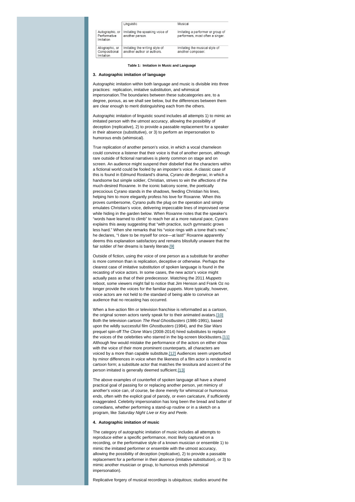|                                               | Linguistic                                                   | Musical                                                               |  |  |
|-----------------------------------------------|--------------------------------------------------------------|-----------------------------------------------------------------------|--|--|
| Autographic, or<br>Performative<br>Imitation  | Imitating the speaking voice of<br>another person.           | Imitating a performer or group of<br>performers, most often a singer. |  |  |
| Allographic, or<br>Compositional<br>Imitation | Imitating the writing style of<br>another author or authors. | Imitating the musical style of<br>another composer.                   |  |  |

#### <span id="page-3-0"></span>**Table 1: Imitation in Music and Language**

## **3. Autographic imitation of language**

Autographic imitation within both language and music is divisible into three practices: replication, imitative substitution, and whimsical impersonation.The boundaries between these subcategories are, to a degree, porous, as we shall see below, but the differences between them are clear enough to merit distinguishing each from the others.

Autographic imitation of linguistic sound includes all attempts 1) to mimic an imitated person with the utmost accuracy, allowing the possibility of deception (replicative), 2) to provide a passable replacement for a speaker in their absence (substitutive), or 3) to perform an impersonation to humorous ends (whimsical).

True replication of another person's voice, in which a vocal chameleon could convince a listener that their voice is that of another person, although rare outside of fictional narratives is plenty common on stage and on screen. An audience might suspend their disbelief that the characters within a fictional world could be fooled by an imposter's voice. A classic case of this is found in Edmund Rostand's drama, *Cyrano de Bergerac*, in which a handsome but simple soldier, Christian, strives to win the affections of the much-desired Roxanne. In the iconic balcony scene, the poetically precocious Cyrano stands in the shadows, feeding Christian his lines, helping him to more elegantly profess his love for Roxanne. When this proves cumbersome, Cyrano pulls the plug on the operation and simply emulates Christian's voice, delivering impeccable lines of improvised verse while hiding in the garden below. When Roxanne notes that the speaker's "words have learned to climb" to reach her at a more natural pace, Cyrano explains this away suggesting that "with practice, such gymnastic grows less hard." When she remarks that his "voice rings with a tone that's new," he declares, "I dare to be myself for once—at last!" Roxanne apparently deems this explanation satisfactory and remains blissfully unaware that the fair soldier of her dreams is barely literate[.\[9\]](#page-5-6)

<span id="page-3-1"></span>Outside of fiction, using the voice of one person as a substitute for another is more common than is replication, deceptive or otherwise. Perhaps the clearest case of imitative substitution of spoken language is found in the recasting of voice actors. In some cases, the new actor's voice might actually pass as that of their predecessor. Watching the 2011 *Muppets* reboot, some viewers might fail to notice that Jim Henson and Frank Oz no longer provide the voices for the familiar puppets. More typically, however, voice actors are not held to the standard of being able to convince an audience that no recasting has occurred.

<span id="page-3-2"></span>When a live-action film or television franchise is reformatted as a cartoon, the original screen actors rarely speak for to their animated avatars[.\[10\]](#page-5-7) Both the television cartoon *The Real Ghostbusters* (1986-1991), based upon the wildly successful film *Ghostbusters* (1984), and the *Star Wars* prequel spin-off *The Clone Wars* (2008-2014) hired substitutes to replace the voices of the celebrities who starred in the big-screen blockbusters. [11] Although few would mistake the performance of the actors on either show with the voice of their more prominent counterparts, all characters are voiced by a more than capable substitute[.\[12\]](#page-5-9) Audiences seem unperturbed by minor differences in voice when the likeness of a film actor is rendered in cartoon form; a substitute actor that matches the tessitura and accent of the person imitated is generally deemed sufficient.[\[13\]](#page-5-10)

<span id="page-3-4"></span><span id="page-3-3"></span>The above examples of counterfeit of spoken language all have a shared practical goal of passing for or replacing another person, yet mimicry of another's voice can, of course, be done merely for whimsical or humorous ends, often with the explicit goal of parody, or even caricature, if sufficiently exaggerated. Celebrity impersonation has long been the bread and butter of comedians, whether performing a stand-up routine or in a sketch on a program, like *Saturday Night Live* or *Key and Peele*.

### **4. Autographic imitation of music**

The category of autographic imitation of music includes all attempts to reproduce either a specific performance, most likely captured on a recording, or the performative style of a known musician or ensemble 1) to mimic the imitated performer or ensemble with the utmost accuracy, allowing the possibility of deception (replicative), 2) to provide a passable replacement for a performer in their absence (imitative substitution), or 3) to mimic another musician or group, to humorous ends (whimsical impersonation).

Replicative forgery of musical recordings is ubiquitous; studios around the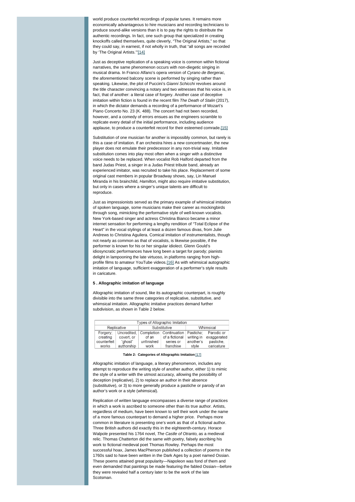world produce counterfeit recordings of popular tunes. It remains more economically advantageous to hire musicians and recording technicians to produce sound-alike versions than it is to pay the rights to distribute the authentic recordings. In fact, one such group that specialized in creating knockoffs called themselves, quite cleverly, "The Original Artists," so that they could say, in earnest, if not wholly in truth, that "all songs are recorded by 'The Original Artists.'"[\[14\]](#page-5-11)

<span id="page-4-2"></span>Just as deceptive replication of a speaking voice is common within fictional narratives, the same phenomenon occurs with non-diegetic singing in musical drama. In Franco Alfano's opera version of *Cyrano de Bergerac*, the aforementioned balcony scene is performed by singing rather than speaking. Likewise, the plot of Puccini's *Gianni Schicchi* revolves around the title character convincing a notary and two witnesses that his voice is, in fact, that of another: a literal case of forgery. Another case of deceptive imitation within fiction is found in the recent film *The Death of Stalin* (2017), in which the dictator demands a recording of a performance of Mozart's Piano Concerto No. 23 (K. 488). The concert had not been recorded, however, and a comedy of errors ensues as the engineers scramble to replicate every detail of the initial performance, including audience applause, to produce a counterfeit record for their esteemed comrade[.\[15\]](#page-5-12)

<span id="page-4-4"></span><span id="page-4-3"></span>Substitution of one musician for another is impossibly common, but rarely is this a case of imitation. If an orchestra hires a new concertmaster, the new player does not emulate their predecessor in any non-trivial way. Imitative substitution comes into play most often when a singer with a distinctive voice needs to be replaced. When vocalist Rob Halford departed from the band Judas Priest, a singer in a Judas Priest tribute band, already an experienced imitator, was recruited to take his place. Replacement of some original cast members in popular Broadway shows, say, Lin Manuel Miranda in his brainchild, *Hamilton,* might also require imitative substitution, but only in cases where a singer's unique talents are difficult to reproduce.

<span id="page-4-5"></span>Just as impressionists served as the primary example of whimsical imitation of spoken language, some musicians make their career as mockingbirds through song, mimicking the performative style of well-known vocalists. New York-based singer and actress Christina Bianco became a minor internet sensation for performing a lengthy rendition of "Total Eclipse of the Heart" in the vocal stylings of at least a dozen famous divas, from Julie Andrews to Christina Aguilera. Comical imitation of instrumentalists, though not nearly as common as that of vocalists, is likewise possible, if the performer is known for his or her singular idiolect. Glenn Gould's idiosyncratic performances have long been a target for parody; pianists delight in lampooning the late virtuoso, in platforms ranging from high-profile films to amateur YouTube videos.[\[16\]](#page-5-13) As with whimsical autographic imitation of language, sufficient exaggeration of a performer's style results in caricature.

### **5 . Allographic imitation of language**

Allographic imitation of sound, like its autographic counterpart, is roughly divisible into the same three categories of replicative, substitutive, and whimsical imitation. Allographic imitative practices demand further subdivision, as shown in Table 2 below.

| Types of Allographic Imitation |             |              |                |            |             |  |  |
|--------------------------------|-------------|--------------|----------------|------------|-------------|--|--|
| Replicative                    |             | Substitutive |                | Whimsical  |             |  |  |
| Forgery:                       | Uncredited. | Completion   | Continuation   | Pastiche:  | Parodic or  |  |  |
| creating                       | covert, or  | of an        | of a fictional | writing in | exaggerated |  |  |
| counterfeit                    | "ahost"     | unfinished   | series or      | another's  | pastiche.   |  |  |
| works                          | authorship  | work         | franchise      | style      | caricature  |  |  |

#### **Table 2: Categories of Allographic Imitation** [\[17\]](#page-5-14)

Allographic imitation of language, a literary phenomenon, includes any attempt to reproduce the writing style of another author, either 1) to mimic the style of a writer with the utmost accuracy, allowing the possibility of deception (replicative), 2) to replace an author in their absence (substitutive), or 3) to more generally produce a pastiche or parody of an author's work or a style (whimsical).

<span id="page-4-1"></span><span id="page-4-0"></span>Replication of written language encompasses a diverse range of practices in which a work is ascribed to someone other than its true author. Artists, regardless of medium, have been known to sell their work under the name of a more famous counterpart to demand a higher price. Perhaps more common in literature is presenting one's work as that of a fictional author. Three British authors did exactly this in the eighteenth-century. Horace Walpole presented his 1764 novel, *The Castle of Otranto*, as a medieval relic. Thomas Chatterton did the same with poetry, falsely ascribing his work to fictional medieval poet Thomas Rowley. Perhaps the most successful hoax, James MacPherson published a collection of poems in the 1760s said to have been written in the Dark Ages by a poet named Ossian. These poems attained great popularity—Napoleon was fond of them and even demanded that paintings be made featuring the fabled Ossian—before they were revealed half a century later to be the work of the late **Scotsman**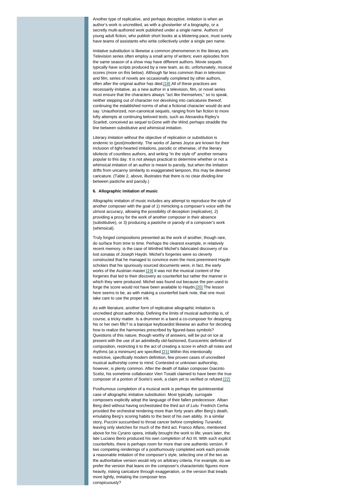<span id="page-5-1"></span><span id="page-5-0"></span>Another type of replicative, and perhaps deceptive, imitation is when an author's work is uncredited, as with a ghostwriter of a biography, or a secretly multi-authored work published under a single name. Authors of young adult fiction, who publish short books at a blistering pace, must surely have teams of assistants who write collectively under a single pen name.

<span id="page-5-3"></span><span id="page-5-2"></span>Imitative substitution is likewise a common phenomenon in the literary arts. Television series often employ a small army of writers; even episodes from the same season of a show may have different authors. Movie sequels typically have scripts produced by a new team, as do, unfortunately, musical scores (more on this below). Although far less common than in television and film, series of novels are occasionally completed by other authors, often after the original author has died[.\[18\]](#page-5-15) All of these practices are necessarily imitative, as a new author in a television, film, or novel series must ensure that the characters always "act like themselves," so to speak, neither stepping out of character nor devolving into caricatures thereof, continuing the established norms of what a fictional character would do and say. Unauthorized, non-canonical sequels, ranging from fan fiction to more lofty attempts at continuing beloved texts, such as Alexandra Ripley's *Scarlett*, conceived as sequel to *Gone with the Wind,* perhaps straddle the line between substitutive and whimsical imitation.

<span id="page-5-6"></span><span id="page-5-5"></span><span id="page-5-4"></span>Literary imitation without the objective of replication or substitution is endemic to (post)modernity. The works of James Joyce are known for their inclusion of light-hearted imitations, parodic or otherwise, of the literary idiolects of countless authors, and writing "in the style of" another remains popular to this day. It is not always practical to determine whether or not a whimsical imitation of an author is meant to parody, but when the imitation drifts from uncanny similarity to exaggerated lampoon, this may be deemed caricature. (Table 2, above, illustrates that there is no clear dividing-line between pastiche and parody.)

### <span id="page-5-8"></span><span id="page-5-7"></span>**6. Allographic imitation of music**

<span id="page-5-10"></span><span id="page-5-9"></span>Allographic imitation of music includes any attempt to reproduce the style of another composer with the goal of 1) mimicking a composer's voice with the utmost accuracy, allowing the possibility of deception (replicative), 2) providing a proxy for the work of another composer in their absence (substitutive), or 3) producing a pastiche or parody of a composer's work (whimsical).

<span id="page-5-12"></span><span id="page-5-11"></span>Truly forged compositions presented as the work of another, though rare, do surface from time to time. Perhaps the clearest example, in relatively recent memory, is the case of Winifred Michel's fabricated discovery of six lost sonatas of Joseph Haydn. Michel's forgeries were so cleverly constructed that he managed to convince even the most preeminent Haydn scholars that his spuriously sourced documents were, in fact, the early works of the Austrian master[.\[19\]](#page-5-16) It was not the musical content of the forgeries that led to their discovery as counterfeit but rather the manner in which they were produced. Michel was found out because the pen used to forge the score would not have been available to Haydn[.\[20\]](#page-5-17) The lesson here seems to be, as with making a counterfeit bank note, that one must take care to use the proper ink.

<span id="page-5-15"></span><span id="page-5-14"></span><span id="page-5-13"></span>As with literature, another form of replicative allographic imitation is uncredited ghost authorship. Defining the limits of musical authorship is, of course, a tricky matter. Is a drummer in a band a co-composer for designing his or her own fills? Is a baroque keyboardist likewise an author for deciding how to realize the harmonies prescribed by figured-bass symbols? Questions of this nature, though worthy of answers, will be put on ice at present with the use of an admittedly old-fashioned, Eurocentric definition of composition, restricting it to the act of creating a score in which all notes and rhythms (at a minimum) are specified[.\[21\]](#page-5-18) Within this intentionally restrictive, specifically modern definition, few proven cases of uncredited musical authorship come to mind. Contested or unknown authorship, however, is plenty common. After the death of Italian composer Giacinto Scelsi, his sometime collaborator Vieri Tosatti claimed to have been the true composer of a portion of Scelsi's work, a claim yet to verified or refuted[.\[22\]](#page-5-19)

<span id="page-5-18"></span><span id="page-5-17"></span><span id="page-5-16"></span>Posthumous completion of a musical work is perhaps the quintessential case of allographic imitative substitution. Most typically, surrogate composers explicitly adopt the language of their fallen predecessor. Alban Berg died without having orchestrated the third act of *Lulu.* Fredrich Cerha provided the orchestral rendering more than forty years after Berg's death, emulating Berg's scoring habits to the best of his own ability. In a similar story, Puccini succumbed to throat cancer before completing *Turandot*, leaving only sketches for much of the third act. Franco Alfano, mentioned above for his *Cyrano* opera, initially brought the work to life; years later, the late Luciano Berio produced his own completion of Act III. With such explicit counterfeits, there is perhaps room for more than one authentic version. If two competing renderings of a posthumously completed work each provide a reasonable imitation of the composer's style, selecting one of the two as the authoritative version would rely on arbitrary criteria. For example, do we prefer the version that leans on the composer's characteristic figures more heavily, risking caricature through exaggeration, or the version that treads more lightly, imitating the composer less conspicuously?

<span id="page-5-19"></span>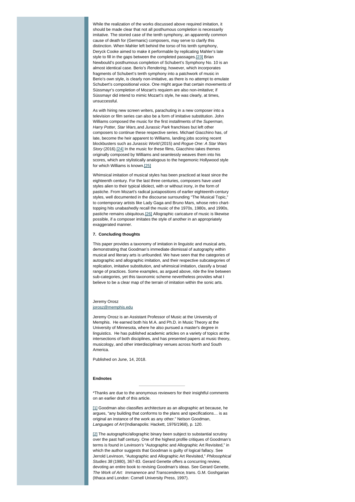<span id="page-6-0"></span>While the realization of the works discussed above required imitation, it should be made clear that not all posthumous completion is necessarily imitative. The storied case of the tenth symphony, an apparently common cause of death for (Germanic) composers, may serve to clarify this distinction. When Mahler left behind the torso of his tenth symphony, Deryck Cooke aimed to make it performable by replicating Mahler's late style to fill in the gaps between the completed passages.[\[23\]](#page-6-0) Brian Newbould's posthumous completion of Schubert's Symphony No. 10 is an almost identical case. Berio's *Rendering*, however, which incorporates fragments of Schubert's tenth symphony into a patchwork of music in Berio's own style, is clearly non-imitative, as there is no attempt to emulate Schubert's compositional voice. One might argue that certain movements of Süssmayr's completion of Mozart's requiem are also non-imitative; if Süssmayr did intend to mimic Mozart's style, he was clearly, at times, unsuccessful.

<span id="page-6-3"></span><span id="page-6-2"></span><span id="page-6-1"></span>As with hiring new screen writers, parachuting in a new composer into a television or film series can also be a form of imitative substitution. John Williams composed the music for the first installments of the *Superman*, *Harry Potter, Star Wars,* and *Jurassic Park* franchises but left other composers to continue these respective series. Michael Giacchino has, of late, become the heir apparent to Williams, landing jobs scoring recent blockbusters such as *Jurassic World* (2015) and *Rogue One: A Star Wars Story* (2016)[.\[24\]](#page-6-1) In the music for these films, Giacchino takes themes originally composed by Williams and seamlessly weaves them into his scores, which are stylistically analogous to the hegemonic Hollywood style for which Williams is known[.\[25\]](#page-6-2)

Whimsical imitation of musical styles has been practiced at least since the eighteenth century. For the last three centuries, composers have used styles alien to their typical idiolect, with or without irony, in the form of pastiche. From Mozart's radical juxtapositions of earlier eighteenth-century styles, well documented in the discourse surrounding "The Musical Topic," to contemporary artists like Lady Gaga and Bruno Mars, whose retro charttopping hits unabashedly recall the music of the 1970s, 1980s, and 1990s, pastiche remains ubiquitous[.\[26\]](#page-6-3) Allographic caricature of music is likewise possible, if a composer imitates the style of another in an appropriately exaggerated manner.

#### **7. Concluding thoughts**

This paper provides a taxonomy of imitation in linguistic and musical arts, demonstrating that Goodman's immediate dismissal of autography within musical and literary arts is unfounded. We have seen that the categories of autographic and allographic imitation, and their respective subcategories of replication, imitative substitution, and whimsical imitation, classify a broad range of practices. Some examples, as argued above, ride the line between sub-categories, yet this taxonomic scheme nevertheless provides what I believe to be a clear map of the terrain of imitation within the sonic arts.

### Jeremy Orosz [jorosz@memphis.edu](mailto:jorosz@memphis.edu)

Jeremy Orosz is an Assistant Professor of Music at the University of Memphis. He earned both his M.A. and Ph.D. in Music Theory at the University of Minnesota, where he also pursued a master's degree in linguistics. He has published academic articles on a variety of topics at the intersections of both disciplines, and has presented papers at music theory musicology, and other interdisciplinary venues across North and South America.

Published on June, 14, 2018.

#### **Endnotes**

\*Thanks are due to the anonymous reviewers for their insightful comments on an earlier draft of this article.

[\[1\]](#page-0-0) Goodman also classifies architecture as an allographic art because, he argues, "any building that conforms to the plans and specifications… is as original an instance of the work as any other." Nelson Goodman, *Languages of Art* (Indianapolis: Hackett, 1976/1968), p. 120.

[\[2\]](#page-0-1) The autographic/allographic binary been subject to substantial scrutiny over the past half century. One of the highest profile critiques of Goodman's terms is found in Levinson's "Autographic and Allographic Art Revisited," in which the author suggests that Goodman is guilty of logical fallacy. See Jerrold Levinson, "Autographic and Allographic Art Revisited," *Philosophical Studies 38* (1980), 367-83. Gerard Genette offers a concurring review, devoting an entire book to revising Goodman's ideas. See Gerard Genette, *The Work of Art: Immanence and Transcendence*, trans. G.M. Goshgarian (Ithaca and London: Cornell University Press, 1997).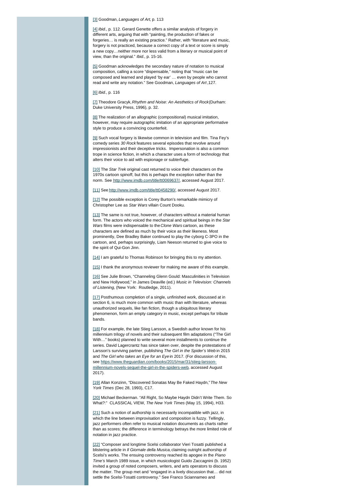#### [\[3\]](#page-0-2) Goodman, *Languages of Art,* p. 113

[\[4\]](#page-0-3) *Ibid.*, p. 112. Gerard Genette offers a similar analysis of forgery in different arts, arguing that with "painting, the production of fakes or forgeries… is really an existing practice." Rather, with "literature and music, forgery is not practiced, because a correct copy of a text or score is simply a new copy…neither more nor less valid from a literary or musical point of view, than the original." *Ibid*., p. 15-16.

[\[5\]](#page-0-4) Goodman acknowledges the secondary nature of notation to musical composition, calling a score "dispensable," noting that "music can be composed and learned and played 'by ear' … even by people who cannot read and write any notation." See Goodman, *Languages of Art* ,127.

[\[6\]](#page-0-5) *Ibid*., p. 116

[\[7\]](#page-0-6) Theodore Gracyk, *Rhythm and Noise: An Aesthetics of Rock* (Durham: Duke University Press, 1996), p. 32.

[\[8\]](#page-0-7) The realization of an allographic (compositional) musical imitation, however, may require autographic imitation of an appropriate performative style to produce a convincing counterfeit.

[\[9\]](#page-1-0) Such vocal forgery is likewise common in television and film. Tina Fey's comedy series *30 Rock* features several episodes that revolve around impressionists and their deceptive tricks. Impersonation is also a common trope in science fiction, in which a character uses a form of technology that alters their voice to aid with espionage or subterfuge.

[\[10\]](#page-1-1) The *Star Trek* original cast returned to voice their characters on the 1970s cartoon spinoff, but this is perhaps the exception rather than the norm. See <http://www.imdb.com/title/tt0069637/>, accessed August 2017.

[\[11\]](#page-1-2) See<http://www.imdb.com/title/tt0458290/>, accessed August 2017.

[\[12\]](#page-1-3) The possible exception is Corey Burton's remarkable mimicry of Christopher Lee as *Star Wars* villain Count Dooku.

[\[13\]](#page-1-4) The same is not true, however, of characters without a material human form. The actors who voiced the mechanical and spiritual beings in the *Star Wars* films were indispensable to the *Clone Wars* cartoon, as these characters are defined as much by their voice as their likeness. Most prominently, Dee Bradley Baker continued to play the cyborg C-3PO in the cartoon, and, perhaps surprisingly, Liam Neeson returned to give voice to the spirit of Qui-Gon Jinn.

[\[14\]](#page-2-0) I am grateful to Thomas Robinson for bringing this to my attention.

[\[15\]](#page-2-1) I thank the anonymous reviewer for making me aware of this example.

[\[16\]](#page-2-2) See Julie Brown, "Channeling Glenn Gould: Masculinities in Television and New Hollywood," in James Deaville (ed.) *Music in Television: Channels of Listening*, (New York: Routledge, 2011).

[\[17\]](#page-2-3) Posthumous completion of a single, unfinished work, discussed at in section 6, is much more common with music than with literature, whereas unauthorized sequels, like fan fiction, though a ubiquitous literary phenomenon, form an empty category in music, except perhaps for tribute bands.

[\[18\]](#page-3-0) For example, the late Stieg Larsson, a Swedish author known for his millennium trilogy of novels and their subsequent film adaptations ("The Girl With…" books) planned to write several more installments to continue the series. David Lagercrantz has since taken over, despite the protestations of Larsson's surviving partner, publishing *The Girl in the Spider's Web* in 2015 and *The Girl who takes an Eye for an Eye* in 2017. (For discussion of this, [see https://www.theguardian.com/books/2015/mar/31/stieg-larsson](https://www.theguardian.com/books/2015/mar/31/stieg-larsson-millennium-novels-sequel-the-girl-in-the-spiders-web)millennium-novels-sequel-the-girl-in-the-spiders-web, accessed August 2017).

[\[19\]](#page-3-1) Allan Konzinn, "Discovered Sonatas May Be Faked Haydn," *The New York Times* (Dec 28, 1993), C17.

[\[20\]](#page-3-2) Michael Beckerman. "All Right, So Maybe Haydn Didn't Write Them. So What?:" CLASSICAL VIEW, *The New York Times* (May 15, 1994), H33.

[\[21\]](#page-3-3) Such a notion of authorship is necessarily incompatible with jazz, in which the line between improvisation and composition is fuzzy. Tellingly, jazz performers often refer to musical notation documents as charts rather than as scores; the difference in terminology betrays the more limited role of notation in jazz practice.

[\[22\]](#page-3-4) "Composer and longtime Scelsi collaborator Vieri Tosatti published a blistering article in *Il Giornale della Musica,* claiming outright authorship of Scelsi's works. The ensuing controversy reached its apogee in the *Piano Time's* March 1989 issue, in which musicologist Guido Zaccagnini (b. 1952) invited a group of noted composers, writers, and arts operators to discuss the matter. The group met and "engaged in a lively discussion that… did not settle the Scelsi-Tosatti controversy." See Franco Sciannameo and